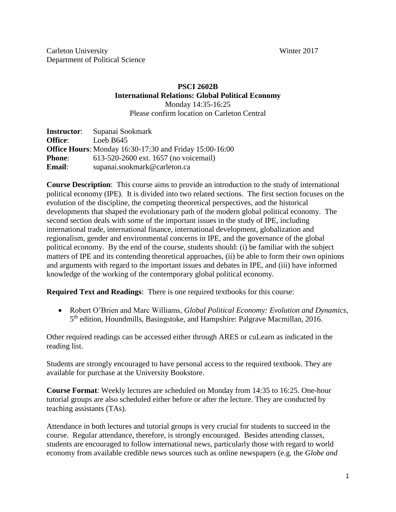# **PSCI 2602B International Relations: Global Political Economy** Monday 14:35-16:25

Please confirm location on Carleton Central

| <b>Instructor:</b> | Supanai Sookmark                                               |
|--------------------|----------------------------------------------------------------|
| <b>Office:</b>     | Loeb $B645$                                                    |
|                    | <b>Office Hours:</b> Monday 16:30-17:30 and Friday 15:00-16:00 |
| <b>Phone:</b>      | 613-520-2600 ext. 1657 (no voicemail)                          |
| <b>Email</b> :     | supanai.sookmark@carleton.ca                                   |

**Course Description**: This course aims to provide an introduction to the study of international political economy (IPE). It is divided into two related sections. The first section focuses on the evolution of the discipline, the competing theoretical perspectives, and the historical developments that shaped the evolutionary path of the modern global political economy. The second section deals with some of the important issues in the study of IPE, including international trade, international finance, international development, globalization and regionalism, gender and environmental concerns in IPE, and the governance of the global political economy. By the end of the course, students should: (i) be familiar with the subject matters of IPE and its contending theoretical approaches, (ii) be able to form their own opinions and arguments with regard to the important issues and debates in IPE, and (iii) have informed knowledge of the working of the contemporary global political economy.

**Required Text and Readings**: There is one required textbooks for this course:

 Robert O'Brien and Marc Williams, *Global Political Economy: Evolution and Dynamics*, 5<sup>th</sup> edition, Houndmills, Basingstoke, and Hampshire: Palgrave Macmillan, 2016.

Other required readings can be accessed either through ARES or cuLearn as indicated in the reading list.

Students are strongly encouraged to have personal access to the required textbook. They are available for purchase at the University Bookstore.

**Course Format**: Weekly lectures are scheduled on Monday from 14:35 to 16:25. One-hour tutorial groups are also scheduled either before or after the lecture. They are conducted by teaching assistants (TAs).

Attendance in both lectures and tutorial groups is very crucial for students to succeed in the course. Regular attendance, therefore, is strongly encouraged. Besides attending classes, students are encouraged to follow international news, particularly those with regard to world economy from available credible news sources such as online newspapers (e.g. the *Globe and*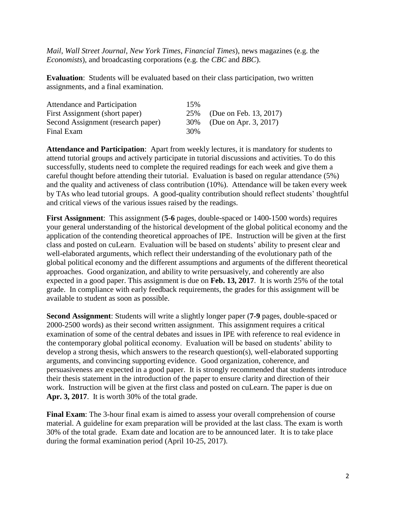*Mail*, *Wall Street Journal*, *New York Times*, *Financial Times*), news magazines (e.g. the *Economists*), and broadcasting corporations (e.g. the *CBC* and *BBC*).

**Evaluation**: Students will be evaluated based on their class participation, two written assignments, and a final examination.

| Attendance and Participation       | 15% |                            |
|------------------------------------|-----|----------------------------|
| First Assignment (short paper)     |     | 25% (Due on Feb. 13, 2017) |
| Second Assignment (research paper) |     | 30% (Due on Apr. 3, 2017)  |
| Final Exam                         | 30% |                            |

**Attendance and Participation**: Apart from weekly lectures, it is mandatory for students to attend tutorial groups and actively participate in tutorial discussions and activities. To do this successfully, students need to complete the required readings for each week and give them a careful thought before attending their tutorial. Evaluation is based on regular attendance (5%) and the quality and activeness of class contribution (10%). Attendance will be taken every week by TAs who lead tutorial groups. A good-quality contribution should reflect students' thoughtful and critical views of the various issues raised by the readings.

**First Assignment**: This assignment (**5-6** pages, double-spaced or 1400-1500 words) requires your general understanding of the historical development of the global political economy and the application of the contending theoretical approaches of IPE. Instruction will be given at the first class and posted on cuLearn. Evaluation will be based on students' ability to present clear and well-elaborated arguments, which reflect their understanding of the evolutionary path of the global political economy and the different assumptions and arguments of the different theoretical approaches. Good organization, and ability to write persuasively, and coherently are also expected in a good paper. This assignment is due on **Feb. 13, 2017**. It is worth 25% of the total grade. In compliance with early feedback requirements, the grades for this assignment will be available to student as soon as possible.

**Second Assignment**: Students will write a slightly longer paper (**7-9** pages, double-spaced or 2000-2500 words) as their second written assignment. This assignment requires a critical examination of some of the central debates and issues in IPE with reference to real evidence in the contemporary global political economy. Evaluation will be based on students' ability to develop a strong thesis, which answers to the research question(s), well-elaborated supporting arguments, and convincing supporting evidence. Good organization, coherence, and persuasiveness are expected in a good paper. It is strongly recommended that students introduce their thesis statement in the introduction of the paper to ensure clarity and direction of their work. Instruction will be given at the first class and posted on cuLearn. The paper is due on **Apr. 3, 2017**. It is worth 30% of the total grade.

**Final Exam**: The 3-hour final exam is aimed to assess your overall comprehension of course material. A guideline for exam preparation will be provided at the last class. The exam is worth 30% of the total grade. Exam date and location are to be announced later. It is to take place during the formal examination period (April 10-25, 2017).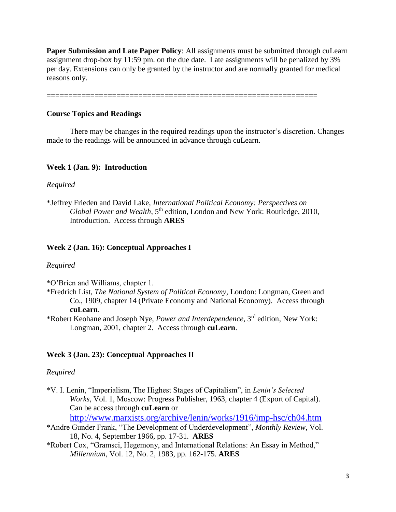**Paper Submission and Late Paper Policy**: All assignments must be submitted through cuLearn assignment drop-box by 11:59 pm. on the due date. Late assignments will be penalized by 3% per day. Extensions can only be granted by the instructor and are normally granted for medical reasons only.

==============================================================

### **Course Topics and Readings**

There may be changes in the required readings upon the instructor's discretion. Changes made to the readings will be announced in advance through cuLearn.

# **Week 1 (Jan. 9): Introduction**

#### *Required*

\*Jeffrey Frieden and David Lake, *International Political Economy: Perspectives on Global Power and Wealth*, 5th edition, London and New York: Routledge, 2010, Introduction. Access through **ARES**

#### **Week 2 (Jan. 16): Conceptual Approaches I**

#### *Required*

\*O'Brien and Williams, chapter 1.

- \*Fredrich List, *The National System of Political Economy*, London: Longman, Green and Co., 1909, chapter 14 (Private Economy and National Economy). Access through **cuLearn**.
- \*Robert Keohane and Joseph Nye, *Power and Interdependence*, 3rd edition, New York: Longman, 2001, chapter 2. Access through **cuLearn**.

#### **Week 3 (Jan. 23): Conceptual Approaches II**

#### *Required*

\*V. I. Lenin, "Imperialism, The Highest Stages of Capitalism", in *Lenin's Selected Works*, Vol. 1, Moscow: Progress Publisher, 1963, chapter 4 (Export of Capital). Can be access through **cuLearn** or

<http://www.marxists.org/archive/lenin/works/1916/imp-hsc/ch04.htm>

- \*Andre Gunder Frank, "The Development of Underdevelopment", *Monthly Review*, Vol. 18, No. 4, September 1966, pp. 17-31. **ARES**
- \*Robert Cox, "Gramsci, Hegemony, and International Relations: An Essay in Method," *Millennium*, Vol. 12, No. 2, 1983, pp. 162-175. **ARES**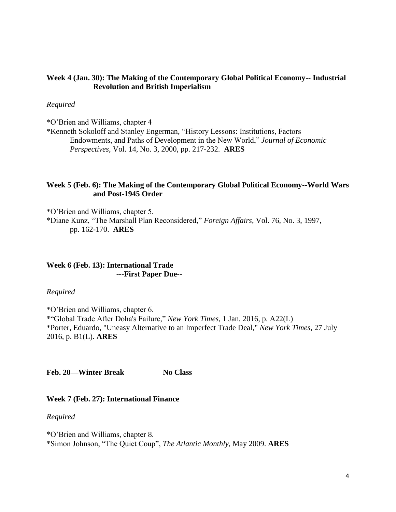### **Week 4 (Jan. 30): The Making of the Contemporary Global Political Economy-- Industrial Revolution and British Imperialism**

#### *Required*

\*O'Brien and Williams, chapter 4

\*Kenneth Sokoloff and Stanley Engerman, "History Lessons: Institutions, Factors Endowments, and Paths of Development in the New World," *Journal of Economic Perspectives*, Vol. 14, No. 3, 2000, pp. 217-232. **ARES**

### **Week 5 (Feb. 6): The Making of the Contemporary Global Political Economy--World Wars and Post-1945 Order**

\*O'Brien and Williams, chapter 5. \*Diane Kunz, "The Marshall Plan Reconsidered," *Foreign Affairs*, Vol. 76, No. 3, 1997, pp. 162-170. **ARES**

# **Week 6 (Feb. 13): International Trade ---First Paper Due--**

*Required*

\*O'Brien and Williams, chapter 6. \*"Global Trade After Doha's Failure," *New York Times*, 1 Jan. 2016, p. A22(L) \*Porter, Eduardo, "Uneasy Alternative to an Imperfect Trade Deal," *New York Times*, 27 July 2016, p. B1(L). **ARES**

Feb. 20—Winter Break No Class

#### **Week 7 (Feb. 27): International Finance**

*Required*

\*O'Brien and Williams, chapter 8. \*Simon Johnson, "The Quiet Coup", *The Atlantic Monthly*, May 2009. **ARES**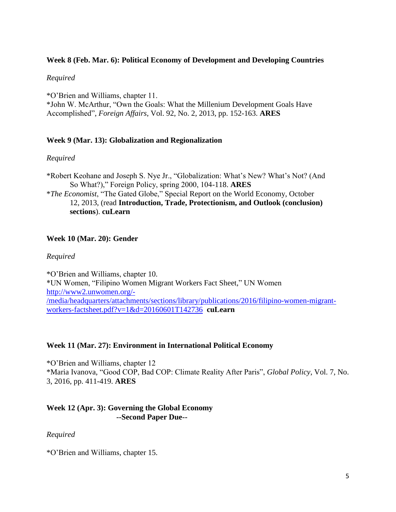# **Week 8 (Feb. Mar. 6): Political Economy of Development and Developing Countries**

### *Required*

\*O'Brien and Williams, chapter 11. \*John W. McArthur, "Own the Goals: What the Millenium Development Goals Have Accomplished", *Foreign Affairs*, Vol. 92, No. 2, 2013, pp. 152-163. **ARES**

# **Week 9 (Mar. 13): Globalization and Regionalization**

# *Required*

\*Robert Keohane and Joseph S. Nye Jr., "Globalization: What's New? What's Not? (And So What?)," Foreign Policy, spring 2000, 104-118. **ARES** \**The Economist*, "The Gated Globe," Special Report on the World Economy, October 12, 2013, (read **Introduction, Trade, Protectionism, and Outlook (conclusion) sections**). **cuLearn**

# **Week 10 (Mar. 20): Gender**

### *Required*

\*O'Brien and Williams, chapter 10. \*UN Women, "Filipino Women Migrant Workers Fact Sheet," UN Women [http://www2.unwomen.org/-](http://www2.unwomen.org/-/media/headquarters/attachments/sections/library/publications/2016/filipino-women-migrant-workers-factsheet.pdf?v=1&d=20160601T142736) [/media/headquarters/attachments/sections/library/publications/2016/filipino-women-migrant](http://www2.unwomen.org/-/media/headquarters/attachments/sections/library/publications/2016/filipino-women-migrant-workers-factsheet.pdf?v=1&d=20160601T142736)[workers-factsheet.pdf?v=1&d=20160601T142736](http://www2.unwomen.org/-/media/headquarters/attachments/sections/library/publications/2016/filipino-women-migrant-workers-factsheet.pdf?v=1&d=20160601T142736) **cuLearn**

### **Week 11 (Mar. 27): Environment in International Political Economy**

\*O'Brien and Williams, chapter 12 \*Maria Ivanova, "Good COP, Bad COP: Climate Reality After Paris", *Global Policy*, Vol. 7, No. 3, 2016, pp. 411-419. **ARES**

### **Week 12 (Apr. 3): Governing the Global Economy --Second Paper Due--**

### *Required*

\*O'Brien and Williams, chapter 15.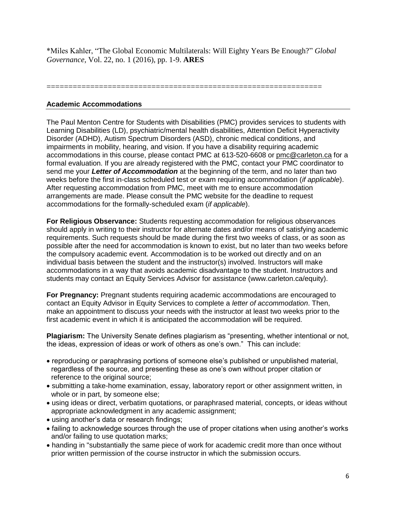\*Miles Kahler, "The Global Economic Multilaterals: Will Eighty Years Be Enough?" *Global Governance,* Vol. 22, no. 1 (2016), pp. 1-9. **ARES**

===============================================================

### **Academic Accommodations**

The Paul Menton Centre for Students with Disabilities (PMC) provides services to students with Learning Disabilities (LD), psychiatric/mental health disabilities, Attention Deficit Hyperactivity Disorder (ADHD), Autism Spectrum Disorders (ASD), chronic medical conditions, and impairments in mobility, hearing, and vision. If you have a disability requiring academic accommodations in this course, please contact PMC at 613-520-6608 or [pmc@carleton.ca](mailto:pmc@carleton.ca) for a formal evaluation. If you are already registered with the PMC, contact your PMC coordinator to send me your *Letter of Accommodation* at the beginning of the term, and no later than two weeks before the first in-class scheduled test or exam requiring accommodation (*if applicable*). After requesting accommodation from PMC, meet with me to ensure accommodation arrangements are made. Please consult the PMC website for the deadline to request accommodations for the formally-scheduled exam (*if applicable*).

**For Religious Observance:** Students requesting accommodation for religious observances should apply in writing to their instructor for alternate dates and/or means of satisfying academic requirements. Such requests should be made during the first two weeks of class, or as soon as possible after the need for accommodation is known to exist, but no later than two weeks before the compulsory academic event. Accommodation is to be worked out directly and on an individual basis between the student and the instructor(s) involved. Instructors will make accommodations in a way that avoids academic disadvantage to the student. Instructors and students may contact an Equity Services Advisor for assistance (www.carleton.ca/equity).

**For Pregnancy:** Pregnant students requiring academic accommodations are encouraged to contact an Equity Advisor in Equity Services to complete a *letter of accommodation*. Then, make an appointment to discuss your needs with the instructor at least two weeks prior to the first academic event in which it is anticipated the accommodation will be required.

**Plagiarism:** The University Senate defines plagiarism as "presenting, whether intentional or not, the ideas, expression of ideas or work of others as one's own." This can include:

- reproducing or paraphrasing portions of someone else's published or unpublished material, regardless of the source, and presenting these as one's own without proper citation or reference to the original source;
- submitting a take-home examination, essay, laboratory report or other assignment written, in whole or in part, by someone else;
- using ideas or direct, verbatim quotations, or paraphrased material, concepts, or ideas without appropriate acknowledgment in any academic assignment;
- using another's data or research findings;
- failing to acknowledge sources through the use of proper citations when using another's works and/or failing to use quotation marks;
- handing in "substantially the same piece of work for academic credit more than once without prior written permission of the course instructor in which the submission occurs.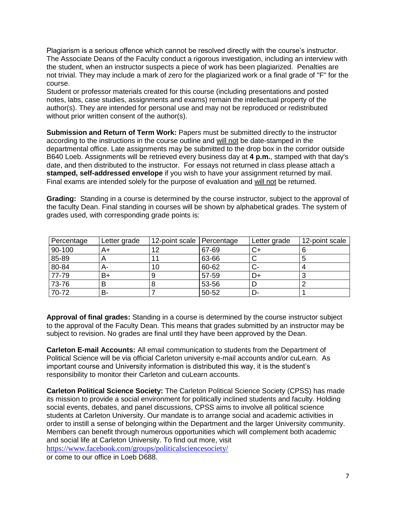Plagiarism is a serious offence which cannot be resolved directly with the course's instructor. The Associate Deans of the Faculty conduct a rigorous investigation, including an interview with the student, when an instructor suspects a piece of work has been plagiarized. Penalties are not trivial. They may include a mark of zero for the plagiarized work or a final grade of "F" for the course.

Student or professor materials created for this course (including presentations and posted notes, labs, case studies, assignments and exams) remain the intellectual property of the author(s). They are intended for personal use and may not be reproduced or redistributed without prior written consent of the author(s).

**Submission and Return of Term Work:** Papers must be submitted directly to the instructor according to the instructions in the course outline and will not be date-stamped in the departmental office. Late assignments may be submitted to the drop box in the corridor outside B640 Loeb. Assignments will be retrieved every business day at **4 p.m.**, stamped with that day's date, and then distributed to the instructor. For essays not returned in class please attach a **stamped, self-addressed envelope** if you wish to have your assignment returned by mail. Final exams are intended solely for the purpose of evaluation and will not be returned.

**Grading:** Standing in a course is determined by the course instructor, subject to the approval of the faculty Dean. Final standing in courses will be shown by alphabetical grades. The system of grades used, with corresponding grade points is:

| Percentage | Letter grade | 12-point scale Percentage |       | Letter grade | 12-point scale |
|------------|--------------|---------------------------|-------|--------------|----------------|
| 90-100     | A+           | 12                        | 67-69 |              |                |
| 85-89      | ∼            |                           | 63-66 |              |                |
| 80-84      | А-           | 10                        | 60-62 |              |                |
| 77-79      | B+           |                           | 57-59 | D+           |                |
| 73-76      | в            |                           | 53-56 |              |                |
| 70-72      | в-           |                           | 50-52 |              |                |

**Approval of final grades:** Standing in a course is determined by the course instructor subject to the approval of the Faculty Dean. This means that grades submitted by an instructor may be subject to revision. No grades are final until they have been approved by the Dean.

**Carleton E-mail Accounts:** All email communication to students from the Department of Political Science will be via official Carleton university e-mail accounts and/or cuLearn. As important course and University information is distributed this way, it is the student's responsibility to monitor their Carleton and cuLearn accounts.

**Carleton Political Science Society:** The Carleton Political Science Society (CPSS) has made its mission to provide a social environment for politically inclined students and faculty. Holding social events, debates, and panel discussions, CPSS aims to involve all political science students at Carleton University. Our mandate is to arrange social and academic activities in order to instill a sense of belonging within the Department and the larger University community. Members can benefit through numerous opportunities which will complement both academic and social life at Carleton University. To find out more, visit <https://www.facebook.com/groups/politicalsciencesociety/> or come to our office in Loeb D688.